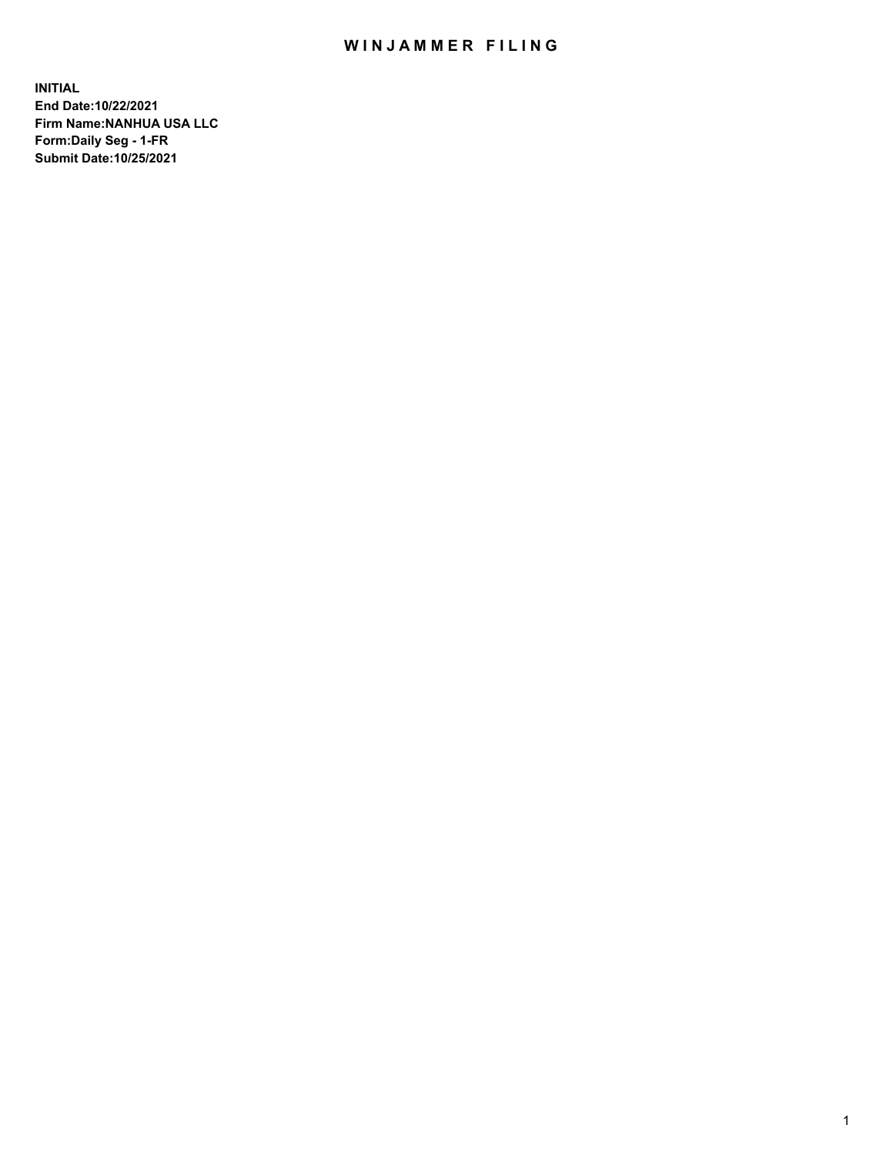## WIN JAMMER FILING

**INITIAL End Date:10/22/2021 Firm Name:NANHUA USA LLC Form:Daily Seg - 1-FR Submit Date:10/25/2021**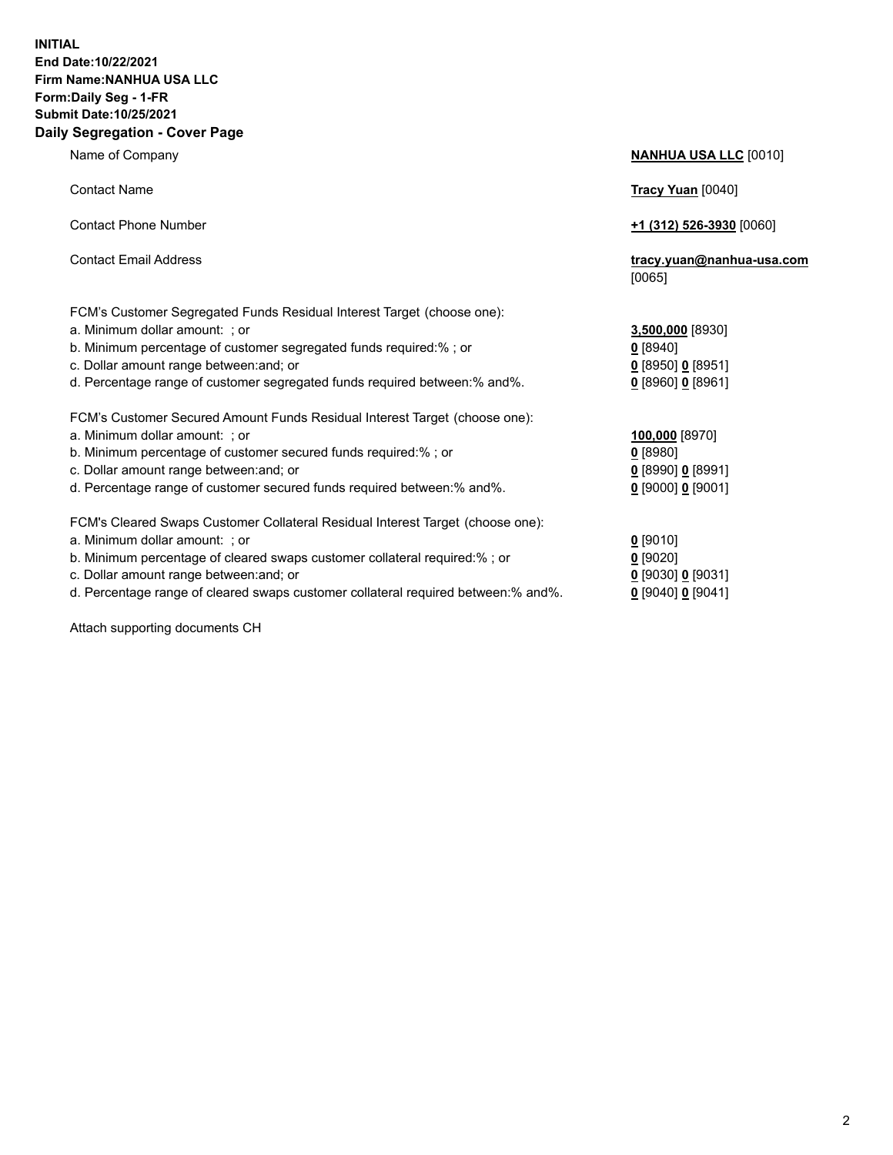## **INITIAL End Date:10/22/2021 Firm Name:NANHUA USA LLC Form:Daily Seg - 1-FR Submit Date:10/25/2021 Daily Segregation - Cover Page**

Name of Company **NANHUA USA LLC** [0010] Contact Name **Tracy Yuan** [0040] Contact Phone Number **+1 (312) 526-3930** [0060] Contact Email Address **tracy.yuan@nanhua-usa.com** [0065] FCM's Customer Segregated Funds Residual Interest Target (choose one): a. Minimum dollar amount: ; or **3,500,000** [8930] b. Minimum percentage of customer segregated funds required:% ; or **0** [8940] c. Dollar amount range between:and; or **0** [8950] **0** [8951] d. Percentage range of customer segregated funds required between:% and%. **0** [8960] **0** [8961] FCM's Customer Secured Amount Funds Residual Interest Target (choose one): a. Minimum dollar amount: ; or **100,000** [8970] b. Minimum percentage of customer secured funds required:% ; or **0** [8980] c. Dollar amount range between:and; or **0** [8990] **0** [8991] d. Percentage range of customer secured funds required between:% and%. **0** [9000] **0** [9001] FCM's Cleared Swaps Customer Collateral Residual Interest Target (choose one): a. Minimum dollar amount: ; or **0** [9010] b. Minimum percentage of cleared swaps customer collateral required:% ; or **0** [9020] c. Dollar amount range between:and; or **0** [9030] **0** [9031]

d. Percentage range of cleared swaps customer collateral required between:% and%. **0** [9040] **0** [9041]

Attach supporting documents CH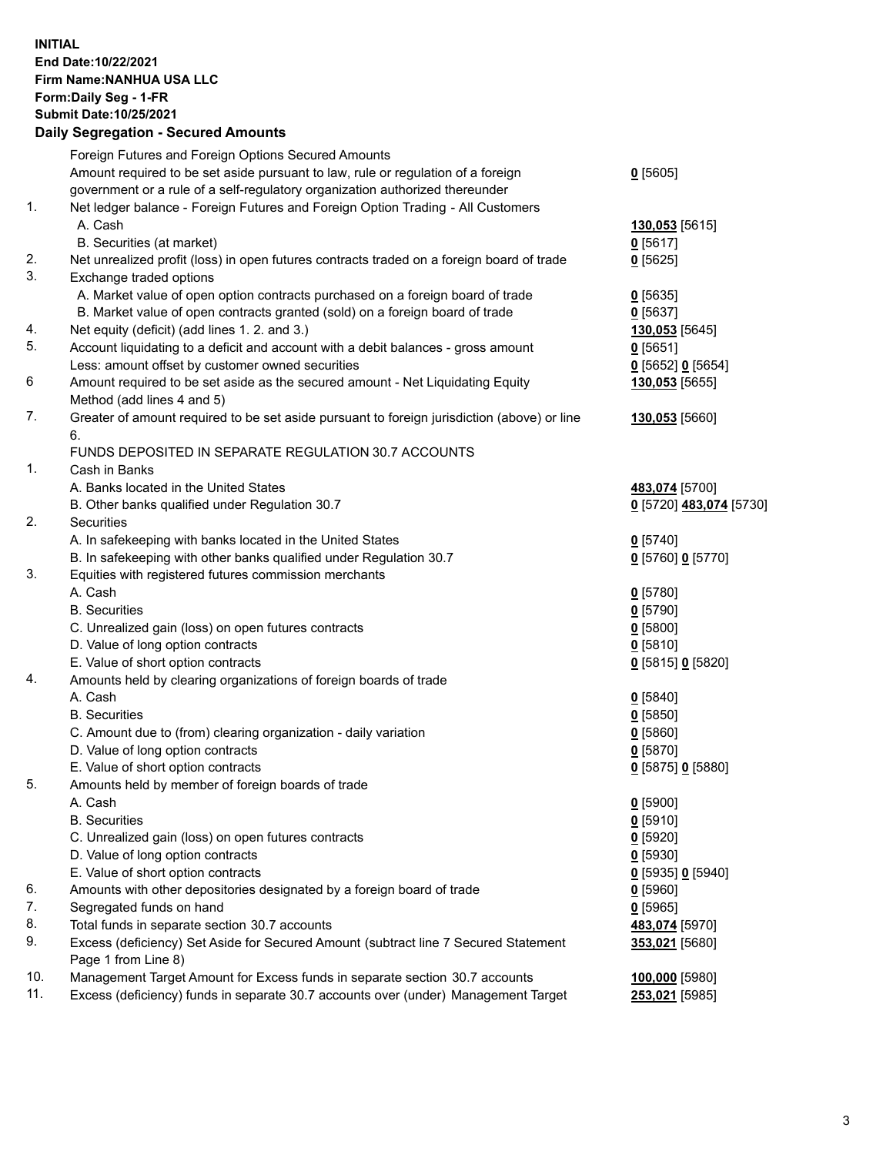## **INITIAL End Date:10/22/2021 Firm Name:NANHUA USA LLC Form:Daily Seg - 1-FR Submit Date:10/25/2021 Daily Segregation - Secured Amounts**

|     | Foreign Futures and Foreign Options Secured Amounts                                         |                           |
|-----|---------------------------------------------------------------------------------------------|---------------------------|
|     | Amount required to be set aside pursuant to law, rule or regulation of a foreign            | $0$ [5605]                |
|     | government or a rule of a self-regulatory organization authorized thereunder                |                           |
| 1.  | Net ledger balance - Foreign Futures and Foreign Option Trading - All Customers             |                           |
|     | A. Cash                                                                                     | 130,053 <sub>[5615]</sub> |
|     | B. Securities (at market)                                                                   | $0$ [5617]                |
| 2.  | Net unrealized profit (loss) in open futures contracts traded on a foreign board of trade   | $0$ [5625]                |
| 3.  | Exchange traded options                                                                     |                           |
|     | A. Market value of open option contracts purchased on a foreign board of trade              | $0$ [5635]                |
|     | B. Market value of open contracts granted (sold) on a foreign board of trade                | $0$ [5637]                |
| 4.  | Net equity (deficit) (add lines 1. 2. and 3.)                                               | 130,053 [5645]            |
| 5.  | Account liquidating to a deficit and account with a debit balances - gross amount           | $0$ [5651]                |
|     | Less: amount offset by customer owned securities                                            | $0$ [5652] $0$ [5654]     |
| 6   | Amount required to be set aside as the secured amount - Net Liquidating Equity              | 130,053 [5655]            |
|     | Method (add lines 4 and 5)                                                                  |                           |
| 7.  | Greater of amount required to be set aside pursuant to foreign jurisdiction (above) or line | 130,053 [5660]            |
|     | 6.                                                                                          |                           |
|     | FUNDS DEPOSITED IN SEPARATE REGULATION 30.7 ACCOUNTS                                        |                           |
| 1.  | Cash in Banks                                                                               |                           |
|     | A. Banks located in the United States                                                       | 483,074 [5700]            |
|     | B. Other banks qualified under Regulation 30.7                                              | 0 [5720] 483,074 [5730]   |
| 2.  | Securities                                                                                  |                           |
|     | A. In safekeeping with banks located in the United States                                   | $0$ [5740]                |
|     | B. In safekeeping with other banks qualified under Regulation 30.7                          | 0 [5760] 0 [5770]         |
| 3.  | Equities with registered futures commission merchants                                       |                           |
|     | A. Cash                                                                                     | $0$ [5780]                |
|     | <b>B.</b> Securities                                                                        | $0$ [5790]                |
|     | C. Unrealized gain (loss) on open futures contracts                                         | $0$ [5800]                |
|     | D. Value of long option contracts                                                           | $0$ [5810]                |
| 4.  | E. Value of short option contracts                                                          | 0 [5815] 0 [5820]         |
|     | Amounts held by clearing organizations of foreign boards of trade<br>A. Cash                |                           |
|     | <b>B.</b> Securities                                                                        | $0$ [5840]<br>$0$ [5850]  |
|     | C. Amount due to (from) clearing organization - daily variation                             | $0$ [5860]                |
|     | D. Value of long option contracts                                                           | $0$ [5870]                |
|     | E. Value of short option contracts                                                          | 0 [5875] 0 [5880]         |
| 5.  | Amounts held by member of foreign boards of trade                                           |                           |
|     | A. Cash                                                                                     | $0$ [5900]                |
|     | <b>B.</b> Securities                                                                        | $0$ [5910]                |
|     | C. Unrealized gain (loss) on open futures contracts                                         | $0$ [5920]                |
|     | D. Value of long option contracts                                                           | $0$ [5930]                |
|     | E. Value of short option contracts                                                          | $0$ [5935] 0 [5940]       |
| 6.  | Amounts with other depositories designated by a foreign board of trade                      | $0$ [5960]                |
| 7.  | Segregated funds on hand                                                                    | 0[5965]                   |
| 8.  | Total funds in separate section 30.7 accounts                                               | 483,074 [5970]            |
| 9.  | Excess (deficiency) Set Aside for Secured Amount (subtract line 7 Secured Statement         | 353,021 [5680]            |
|     | Page 1 from Line 8)                                                                         |                           |
| 10. | Management Target Amount for Excess funds in separate section 30.7 accounts                 | 100,000 [5980]            |
| 11. | Excess (deficiency) funds in separate 30.7 accounts over (under) Management Target          | 253,021 [5985]            |
|     |                                                                                             |                           |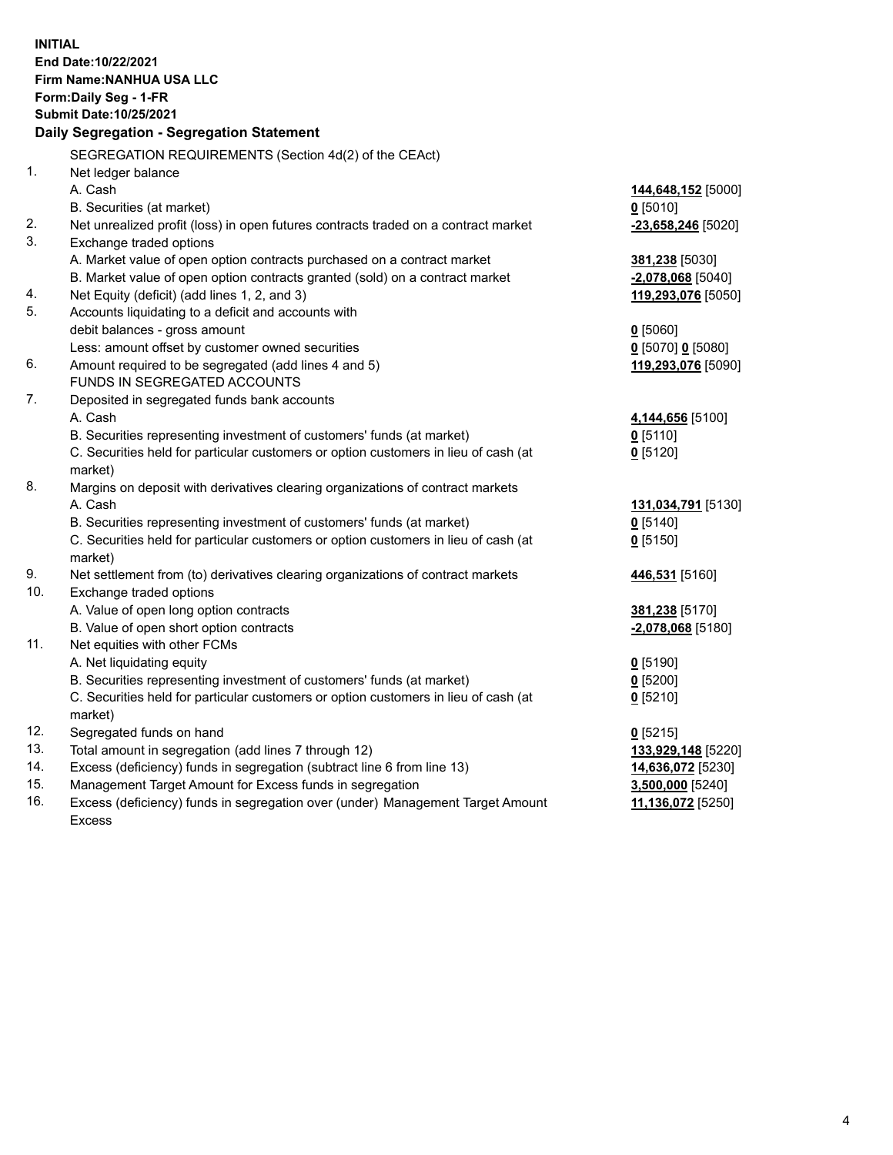**INITIAL End Date:10/22/2021 Firm Name:NANHUA USA LLC Form:Daily Seg - 1-FR Submit Date:10/25/2021 Daily Segregation - Segregation Statement** SEGREGATION REQUIREMENTS (Section 4d(2) of the CEAct) 1. Net ledger balance A. Cash **144,648,152** [5000] B. Securities (at market) **0** [5010] 2. Net unrealized profit (loss) in open futures contracts traded on a contract market **-23,658,246** [5020] 3. Exchange traded options A. Market value of open option contracts purchased on a contract market **381,238** [5030] B. Market value of open option contracts granted (sold) on a contract market **-2,078,068** [5040] 4. Net Equity (deficit) (add lines 1, 2, and 3) **119,293,076** [5050] 5. Accounts liquidating to a deficit and accounts with debit balances - gross amount **0** [5060] Less: amount offset by customer owned securities **0** [5070] **0** [5080] 6. Amount required to be segregated (add lines 4 and 5) **119,293,076** [5090] FUNDS IN SEGREGATED ACCOUNTS 7. Deposited in segregated funds bank accounts A. Cash **4,144,656** [5100] B. Securities representing investment of customers' funds (at market) **0** [5110] C. Securities held for particular customers or option customers in lieu of cash (at market) **0** [5120] 8. Margins on deposit with derivatives clearing organizations of contract markets A. Cash **131,034,791** [5130] B. Securities representing investment of customers' funds (at market) **0** [5140] C. Securities held for particular customers or option customers in lieu of cash (at market) **0** [5150] 9. Net settlement from (to) derivatives clearing organizations of contract markets **446,531** [5160] 10. Exchange traded options A. Value of open long option contracts **381,238** [5170] B. Value of open short option contracts **-2,078,068** [5180] 11. Net equities with other FCMs A. Net liquidating equity **0** [5190] B. Securities representing investment of customers' funds (at market) **0** [5200] C. Securities held for particular customers or option customers in lieu of cash (at market) **0** [5210] 12. Segregated funds on hand **0** [5215] 13. Total amount in segregation (add lines 7 through 12) **133,929,148** [5220] 14. Excess (deficiency) funds in segregation (subtract line 6 from line 13) **14,636,072** [5230] 15. Management Target Amount for Excess funds in segregation **3,500,000** [5240] 16. Excess (deficiency) funds in segregation over (under) Management Target Amount Excess **11,136,072** [5250]